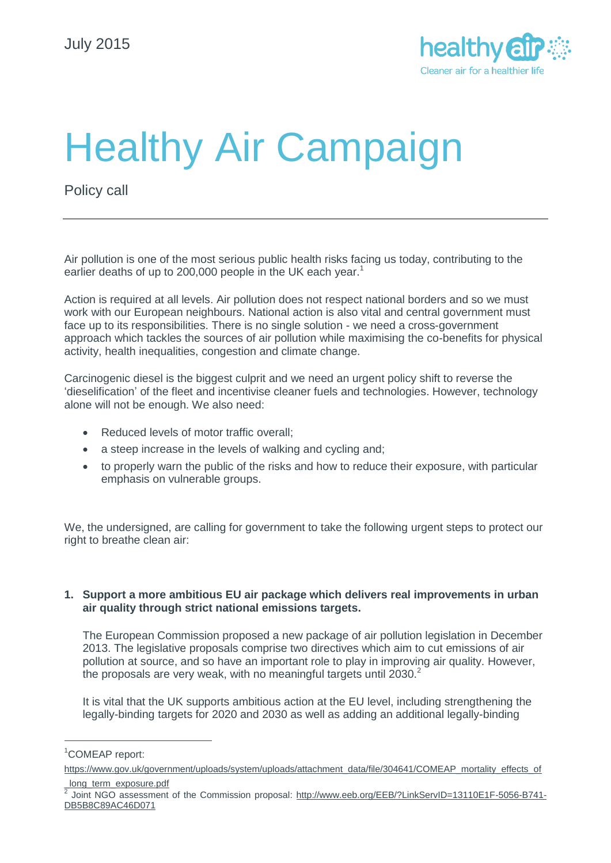

# Healthy Air Campaign

Policy call

Air pollution is one of the most serious public health risks facing us today, contributing to the earlier deaths of up to 200,000 people in the UK each year.<sup>1</sup>

Action is required at all levels. Air pollution does not respect national borders and so we must work with our European neighbours. National action is also vital and central government must face up to its responsibilities. There is no single solution - we need a cross-government approach which tackles the sources of air pollution while maximising the co-benefits for physical activity, health inequalities, congestion and climate change.

Carcinogenic diesel is the biggest culprit and we need an urgent policy shift to reverse the 'dieselification' of the fleet and incentivise cleaner fuels and technologies. However, technology alone will not be enough. We also need:

- Reduced levels of motor traffic overall;
- a steep increase in the levels of walking and cycling and;
- to properly warn the public of the risks and how to reduce their exposure, with particular emphasis on vulnerable groups.

We, the undersigned, are calling for government to take the following urgent steps to protect our right to breathe clean air:

# **1. Support a more ambitious EU air package which delivers real improvements in urban air quality through strict national emissions targets.**

The European Commission proposed a new package of air pollution legislation in December 2013. The legislative proposals comprise two directives which aim to cut emissions of air pollution at source, and so have an important role to play in improving air quality. However, the proposals are very weak, with no meaningful targets until  $2030<sup>2</sup>$ 

It is vital that the UK supports ambitious action at the EU level, including strengthening the legally-binding targets for 2020 and 2030 as well as adding an additional legally-binding

 $\overline{a}$ 

<sup>1</sup>COMEAP report:

[https://www.gov.uk/government/uploads/system/uploads/attachment\\_data/file/304641/COMEAP\\_mortality\\_effects\\_of](https://www.gov.uk/government/uploads/system/uploads/attachment_data/file/304641/COMEAP_mortality_effects_of_long_term_exposure.pdf)

long\_term\_exposure.pdf

<sup>2</sup> Joint NGO assessment of the Commission proposal: [http://www.eeb.org/EEB/?LinkServID=13110E1F-5056-B741-](http://www.eeb.org/EEB/?LinkServID=13110E1F-5056-B741-DB5B8C89AC46D071) [DB5B8C89AC46D071](http://www.eeb.org/EEB/?LinkServID=13110E1F-5056-B741-DB5B8C89AC46D071)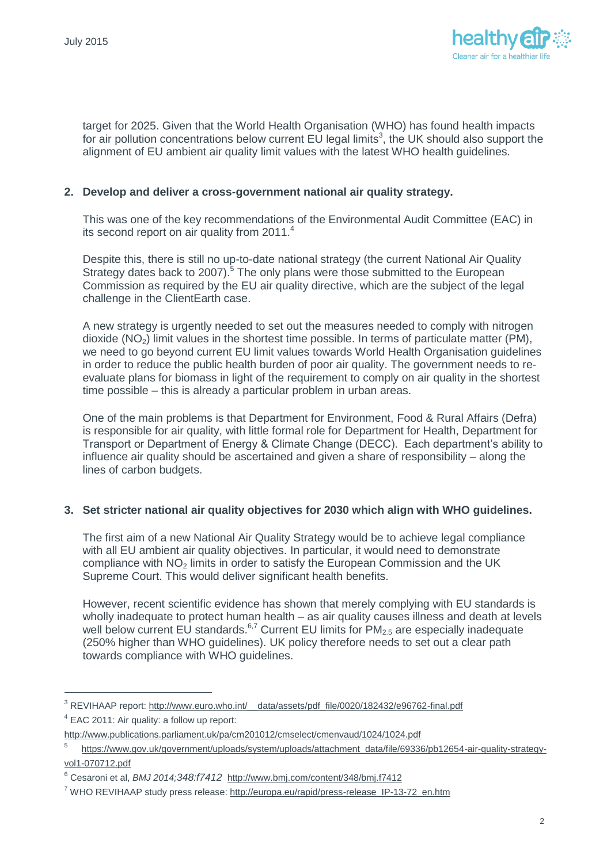$\overline{a}$ 



target for 2025. Given that the World Health Organisation (WHO) has found health impacts for air pollution concentrations below current  $E\dot{U}$  legal limits<sup>3</sup>, the UK should also support the alignment of EU ambient air quality limit values with the latest WHO health guidelines.

# **2. Develop and deliver a cross-government national air quality strategy.**

This was one of the key recommendations of the Environmental Audit Committee (EAC) in its second report on air quality from  $2011<sup>4</sup>$ 

Despite this, there is still no up-to-date national strategy (the current National Air Quality Strategy dates back to 2007).<sup>5</sup> The only plans were those submitted to the European Commission as required by the EU air quality directive, which are the subject of the legal challenge in the ClientEarth case.

A new strategy is urgently needed to set out the measures needed to comply with nitrogen dioxide ( $NO<sub>2</sub>$ ) limit values in the shortest time possible. In terms of particulate matter (PM), we need to go beyond current EU limit values towards World Health Organisation guidelines in order to reduce the public health burden of poor air quality. The government needs to reevaluate plans for biomass in light of the requirement to comply on air quality in the shortest time possible – this is already a particular problem in urban areas.

One of the main problems is that Department for Environment, Food & Rural Affairs (Defra) is responsible for air quality, with little formal role for Department for Health, Department for Transport or Department of Energy & Climate Change (DECC). Each department's ability to influence air quality should be ascertained and given a share of responsibility – along the lines of carbon budgets.

# **3. Set stricter national air quality objectives for 2030 which align with WHO guidelines.**

The first aim of a new National Air Quality Strategy would be to achieve legal compliance with all EU ambient air quality objectives. In particular, it would need to demonstrate compliance with  $NO<sub>2</sub>$  limits in order to satisfy the European Commission and the UK Supreme Court. This would deliver significant health benefits.

However, recent scientific evidence has shown that merely complying with EU standards is wholly inadequate to protect human health – as air quality causes illness and death at levels well below current EU standards.<sup>6,7</sup> Current EU limits for  $PM_{2.5}$  are especially inadequate (250% higher than WHO guidelines). UK policy therefore needs to set out a clear path towards compliance with WHO guidelines.

 $3$  REVIHAAP report: http://www.euro.who.int/ data/assets/pdf file/0020/182432/e96762-final.pdf <sup>4</sup> EAC 2011: Air quality: a follow up report:

<http://www.publications.parliament.uk/pa/cm201012/cmselect/cmenvaud/1024/1024.pdf>

<sup>5</sup> [https://www.gov.uk/government/uploads/system/uploads/attachment\\_data/file/69336/pb12654-air-quality-strategy](https://www.gov.uk/government/uploads/system/uploads/attachment_data/file/69336/pb12654-air-quality-strategy-vol1-070712.pdf)[vol1-070712.pdf](https://www.gov.uk/government/uploads/system/uploads/attachment_data/file/69336/pb12654-air-quality-strategy-vol1-070712.pdf)

<sup>6</sup> Cesaroni et al, *BMJ 2014;348:f7412*<http://www.bmj.com/content/348/bmj.f7412>

<sup>7</sup> WHO REVIHAAP study press release: [http://europa.eu/rapid/press-release\\_IP-13-72\\_en.htm](http://europa.eu/rapid/press-release_IP-13-72_en.htm)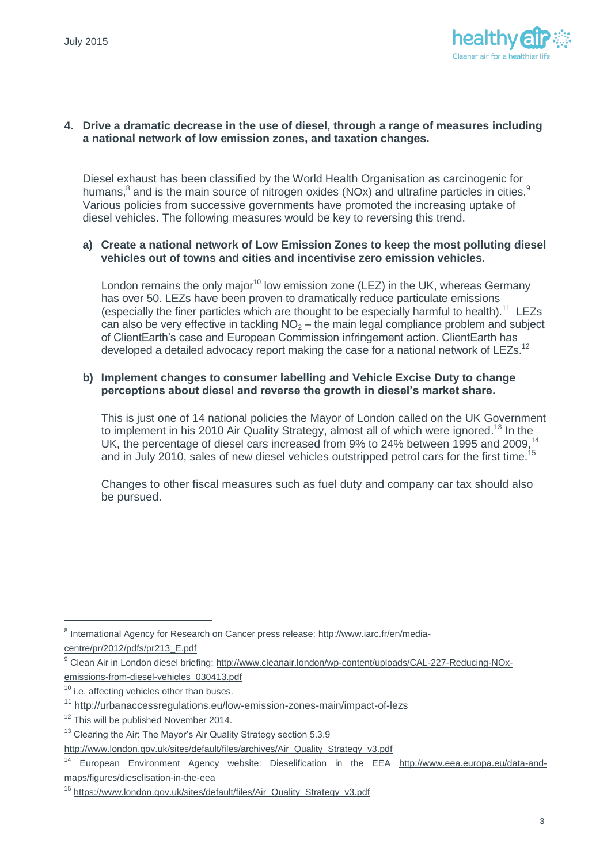

# **4. Drive a dramatic decrease in the use of diesel, through a range of measures including a national network of low emission zones, and taxation changes.**

Diesel exhaust has been classified by the World Health Organisation as carcinogenic for humans, ${}^{8}$  and is the main source of nitrogen oxides (NOx) and ultrafine particles in cities. ${}^{8}$ Various policies from successive governments have promoted the increasing uptake of diesel vehicles. The following measures would be key to reversing this trend.

# **a) Create a national network of Low Emission Zones to keep the most polluting diesel vehicles out of towns and cities and incentivise zero emission vehicles.**

London remains the only major<sup>10</sup> low emission zone (LEZ) in the UK, whereas Germany has over 50. LEZs have been proven to dramatically reduce particulate emissions (especially the finer particles which are thought to be especially harmful to health).<sup>11</sup> LEZs can also be very effective in tackling  $NO<sub>2</sub> -$  the main legal compliance problem and subject of ClientEarth's case and European Commission infringement action. ClientEarth has developed a detailed advocacy report making the case for a national network of LEZs.<sup>12</sup>

# **b) Implement changes to consumer labelling and Vehicle Excise Duty to change perceptions about diesel and reverse the growth in diesel's market share.**

This is just one of 14 national policies the Mayor of London called on the UK Government to implement in his 2010 Air Quality Strategy, almost all of which were ignored.<sup>13</sup> In the UK, the percentage of diesel cars increased from 9% to 24% between 1995 and 2009,<sup>14</sup> and in July 2010, sales of new diesel vehicles outstripped petrol cars for the first time.<sup>15</sup>

Changes to other fiscal measures such as fuel duty and company car tax should also be pursued.

 $\overline{a}$ 

<sup>&</sup>lt;sup>8</sup> International Agency for Research on Cancer press release: [http://www.iarc.fr/en/media-](http://www.iarc.fr/en/media-centre/pr/2012/pdfs/pr213_E.pdf)

[centre/pr/2012/pdfs/pr213\\_E.pdf](http://www.iarc.fr/en/media-centre/pr/2012/pdfs/pr213_E.pdf)

<sup>9</sup> Clean Air in London diesel briefing[: http://www.cleanair.london/wp-content/uploads/CAL-227-Reducing-NOx](http://www.cleanair.london/wp-content/uploads/CAL-227-Reducing-NOx-emissions-from-diesel-vehicles_030413.pdf)[emissions-from-diesel-vehicles\\_030413.pdf](http://www.cleanair.london/wp-content/uploads/CAL-227-Reducing-NOx-emissions-from-diesel-vehicles_030413.pdf)

<sup>&</sup>lt;sup>10</sup> i.e. affecting vehicles other than buses.

<sup>11</sup> <http://urbanaccessregulations.eu/low-emission-zones-main/impact-of-lezs>

<sup>&</sup>lt;sup>12</sup> This will be published November 2014.

<sup>&</sup>lt;sup>13</sup> Clearing the Air: The Mayor's Air Quality Strategy section 5.3.9

[http://www.london.gov.uk/sites/default/files/archives/Air\\_Quality\\_Strategy\\_v3.pdf](http://www.london.gov.uk/sites/default/files/archives/Air_Quality_Strategy_v3.pdf)

<sup>14</sup> European Environment Agency website: Dieselification in the EEA [http://www.eea.europa.eu/data-and](http://www.eea.europa.eu/data-and-maps/figures/dieselisation-in-the-eea)[maps/figures/dieselisation-in-the-eea](http://www.eea.europa.eu/data-and-maps/figures/dieselisation-in-the-eea)

<sup>15</sup> [https://www.london.gov.uk/sites/default/files/Air\\_Quality\\_Strategy\\_v3.pdf](https://www.london.gov.uk/sites/default/files/Air_Quality_Strategy_v3.pdf)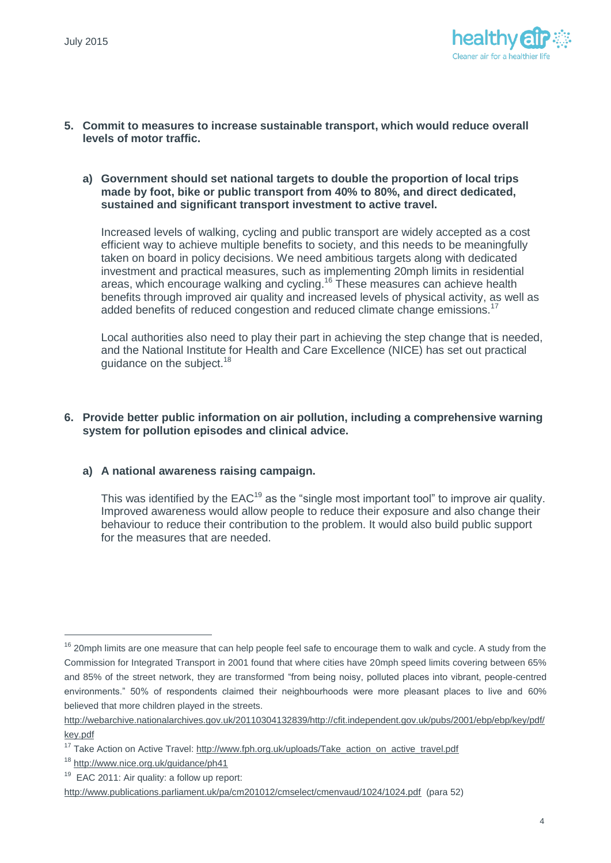

- **5. Commit to measures to increase sustainable transport, which would reduce overall levels of motor traffic.** 
	- **a) Government should set national targets to double the proportion of local trips made by foot, bike or public transport from 40% to 80%, and direct dedicated, sustained and significant transport investment to active travel.**

Increased levels of walking, cycling and public transport are widely accepted as a cost efficient way to achieve multiple benefits to society, and this needs to be meaningfully taken on board in policy decisions. We need ambitious targets along with dedicated investment and practical measures, such as implementing 20mph limits in residential areas, which encourage walking and cycling.<sup>16</sup> These measures can achieve health benefits through improved air quality and increased levels of physical activity, as well as added benefits of reduced congestion and reduced climate change emissions.<sup>17</sup>

Local authorities also need to play their part in achieving the step change that is needed, and the National Institute for Health and Care Excellence (NICE) has set out practical guidance on the subject.<sup>18</sup>

# **6. Provide better public information on air pollution, including a comprehensive warning system for pollution episodes and clinical advice.**

# **a) A national awareness raising campaign.**

This was identified by the  $EAC^{19}$  as the "single most important tool" to improve air quality. Improved awareness would allow people to reduce their exposure and also change their behaviour to reduce their contribution to the problem. It would also build public support for the measures that are needed.

 $\overline{a}$ 

<sup>&</sup>lt;sup>16</sup> 20mph limits are one measure that can help people feel safe to encourage them to walk and cycle. A study from the Commission for Integrated Transport in 2001 found that where cities have 20mph speed limits covering between 65% and 85% of the street network, they are transformed "from being noisy, polluted places into vibrant, people-centred environments." 50% of respondents claimed their neighbourhoods were more pleasant places to live and 60% believed that more children played in the streets.

[http://webarchive.nationalarchives.gov.uk/20110304132839/http://cfit.independent.gov.uk/pubs/2001/ebp/ebp/key/pdf/](http://webarchive.nationalarchives.gov.uk/20110304132839/http:/cfit.independent.gov.uk/pubs/2001/ebp/ebp/key/pdf/key.pdf) [key.pdf](http://webarchive.nationalarchives.gov.uk/20110304132839/http:/cfit.independent.gov.uk/pubs/2001/ebp/ebp/key/pdf/key.pdf)

<sup>&</sup>lt;sup>17</sup> Take Action on Active Travel: [http://www.fph.org.uk/uploads/Take\\_action\\_on\\_active\\_travel.pdf](http://www.fph.org.uk/uploads/Take_action_on_active_travel.pdf)

<sup>18</sup> <http://www.nice.org.uk/guidance/ph41>

<sup>&</sup>lt;sup>19</sup> EAC 2011: Air quality: a follow up report:

<http://www.publications.parliament.uk/pa/cm201012/cmselect/cmenvaud/1024/1024.pdf>(para 52)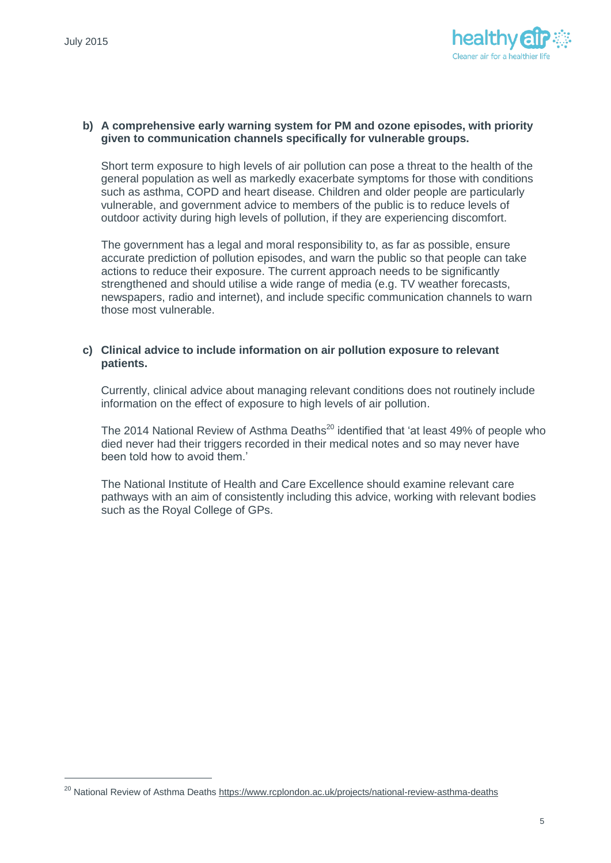$\overline{a}$ 



#### **b) A comprehensive early warning system for PM and ozone episodes, with priority given to communication channels specifically for vulnerable groups.**

Short term exposure to high levels of air pollution can pose a threat to the health of the general population as well as markedly exacerbate symptoms for those with conditions such as asthma, COPD and heart disease. Children and older people are particularly vulnerable, and government advice to members of the public is to reduce levels of outdoor activity during high levels of pollution, if they are experiencing discomfort.

The government has a legal and moral responsibility to, as far as possible, ensure accurate prediction of pollution episodes, and warn the public so that people can take actions to reduce their exposure. The current approach needs to be significantly strengthened and should utilise a wide range of media (e.g. TV weather forecasts, newspapers, radio and internet), and include specific communication channels to warn those most vulnerable.

# **c) Clinical advice to include information on air pollution exposure to relevant patients.**

Currently, clinical advice about managing relevant conditions does not routinely include information on the effect of exposure to high levels of air pollution.

The 2014 National Review of Asthma Deaths<sup>20</sup> identified that 'at least 49% of people who died never had their triggers recorded in their medical notes and so may never have been told how to avoid them.'

The National Institute of Health and Care Excellence should examine relevant care pathways with an aim of consistently including this advice, working with relevant bodies such as the Royal College of GPs.

<sup>&</sup>lt;sup>20</sup> National Review of Asthma Deaths<https://www.rcplondon.ac.uk/projects/national-review-asthma-deaths>